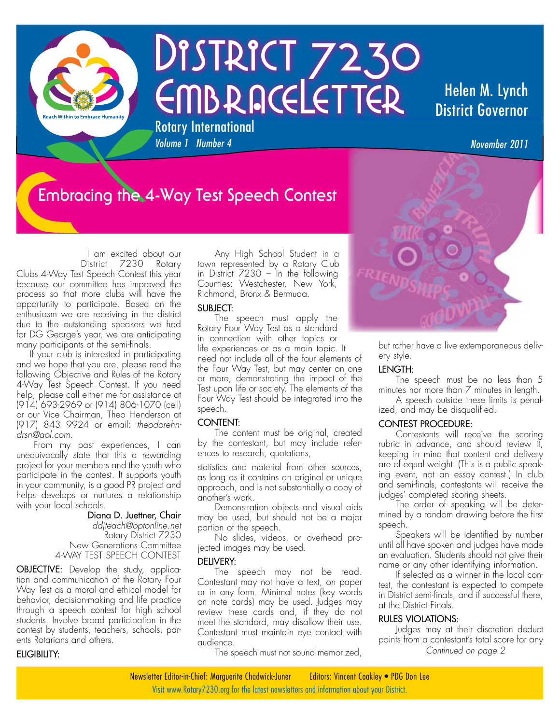

# DISTRICT 7230 EMBRACELETTER Rotary International

### Helen M. Lynch District Governor

# **Embracing the 4-Way Test Speech Contest**

*Volume 1 Number 4* 

 I am excited about our District 7230 Rotary Clubs 4-Way Test Speech Contest this year because our committee has improved the process so that more clubs will have the opportunity to participate. Based on the enthusiasm we are receiving in the district due to the outstanding speakers we had for DG George's year, we are anticipating many participants at the semi-finals.

 If your club is interested in participating and we hope that you are, please read the following Objective and Rules of the Rotary 4-Way Test Speech Contest. If you need help, please call either me for assistance at (914) 693-2969 or (914) 806-1070 (cell) or our Vice Chairman, Theo Henderson at (917) 843 9924 or email: *theodorehndrsn@aol.com*.

From my past experiences, I can unequivocally state that this a rewarding project for your members and the youth who participate in the contest. It supports youth in your community, is a good PR project and helps develops or nurtures a relationship with your local schools.

### Diana D. Juettner, Chair

*ddjteach@optonline.net* Rotary District 7230 New Generations Committee 4-WAY TEST SPEECH CONTEST

**OBJECTIVE:** Develop the study, application and communication of the Rotary Four Way Test as a moral and ethical model for behavior, decision-making and life practice through a speech contest for high school students. Involve broad participation in the contest by students, teachers, schools, parents Rotarians and others.

### Eligibility:

Any High School Student in a town represented by a Rotary Club in District  $7230 - 1$  in the following Counties: Westchester, New York, Richmond, Bronx & Bermuda.

### SUBJECT:

The speech must apply the Rotary Four Way Test as a standard in connection with other topics or life experiences or as a main topic. It need not include all of the four elements of the Four Way Test, but may center on one or more, demonstrating the impact of the Test upon life or society. The elements of the Four Way Test should be integrated into the speech.

### CONTENT<sup>.</sup>

The content must be original, created by the contestant, but may include references to research, quotations,

statistics and material from other sources, as long as it contains an original or unique approach, and is not substantially a copy of another's work.

Demonstration objects and visual aids may be used, but should not be a major portion of the speech.

No slides, videos, or overhead projected images may be used.

### DELIVERY:

The speech may not be read. Contestant may not have a text, on paper or in any form. Minimal notes (key words on note cards) may be used. Judges may review these cards and, if they do not meet the standard, may disallow their use. Contestant must maintain eye contact with audience.

The speech must not sound memorized,

but rather have a live extemporaneous delivery style.

### Length:

The speech must be no less than 5 minutes nor more than 7 minutes in length.

A speech outside these limits is penalized, and may be disqualified.

### Contest Procedure:

Contestants will receive the scoring rubric in advance, and should review it, keeping in mind that content and delivery are of equal weight. (This is a public speaking event, not an essay contest.) In club and semi-finals, contestants will receive the judges' completed scoring sheets.

The order of speaking will be determined by a random drawing before the first speech.

Speakers will be identified by number until all have spoken and judges have made an evaluation. Students should not give their name or any other identifying information.

If selected as a winner in the local contest, the contestant is expected to compete in District semi-finals, and if successful there, at the District Finals.

### Rules Violations:

Judges may at their discretion deduct points from a contestant's total score for any *Continued on page 2*

Visit www.Rotary7230.org for the latest newsletters and information about your District. Newsletter Editor-in-Chief: Marguerite Chadwick-Juner Editors: Vincent Coakley • PDG Don Lee

*November 2011*